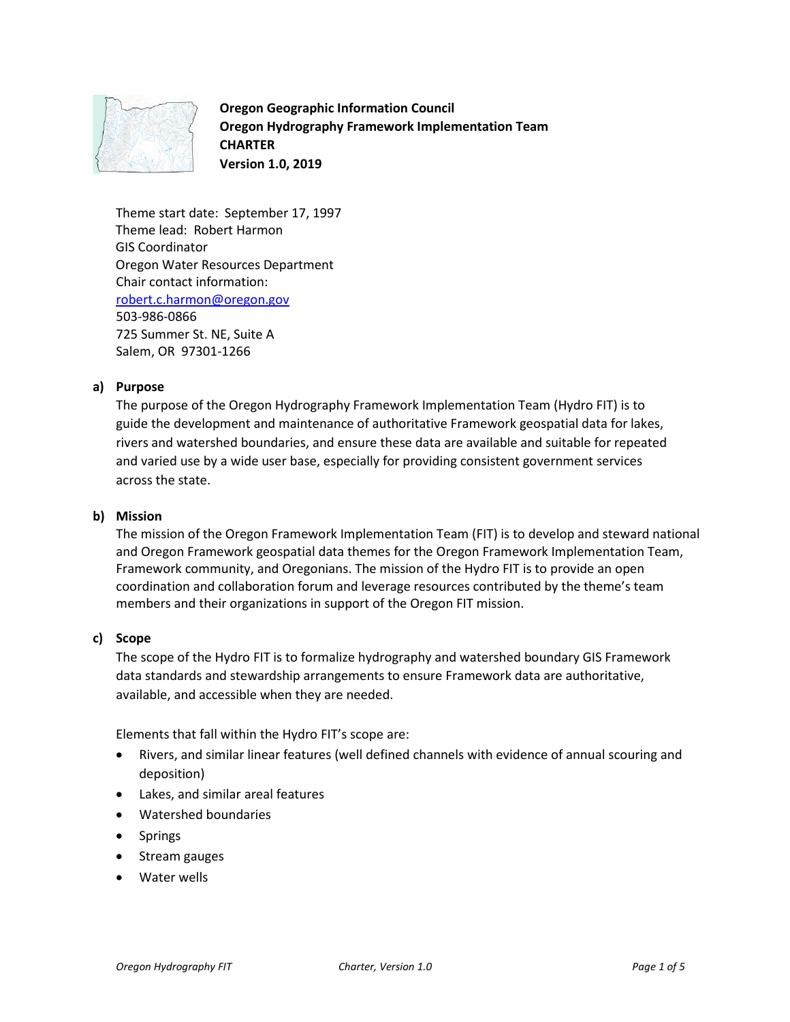

**Oregon Geographic Information Council Oregon Hydrography Framework Implementation Team CHARTER Version 1.0, 2019**

Theme start date: September 17, 1997 Theme lead: Robert Harmon GIS Coordinator Oregon Water Resources Department Chair contact information: [robert.c.harmon@oregon.gov](mailto:robert.c.harmon@oregon.gov) 503-986-0866 725 Summer St. NE, Suite A Salem, OR 97301-1266

## **a) Purpose**

The purpose of the Oregon Hydrography Framework Implementation Team (Hydro FIT) is to guide the development and maintenance of authoritative Framework geospatial data for lakes, rivers and watershed boundaries, and ensure these data are available and suitable for repeated and varied use by a wide user base, especially for providing consistent government services across the state.

#### **b) Mission**

The mission of the Oregon Framework Implementation Team (FIT) is to develop and steward national and Oregon Framework geospatial data themes for the Oregon Framework Implementation Team, Framework community, and Oregonians. The mission of the Hydro FIT is to provide an open coordination and collaboration forum and leverage resources contributed by the theme's team members and their organizations in support of the Oregon FIT mission.

#### **c) Scope**

The scope of the Hydro FIT is to formalize hydrography and watershed boundary GIS Framework data standards and stewardship arrangements to ensure Framework data are authoritative, available, and accessible when they are needed.

Elements that fall within the Hydro FIT's scope are:

- Rivers, and similar linear features (well defined channels with evidence of annual scouring and deposition)
- Lakes, and similar areal features
- Watershed boundaries
- Springs
- Stream gauges
- Water wells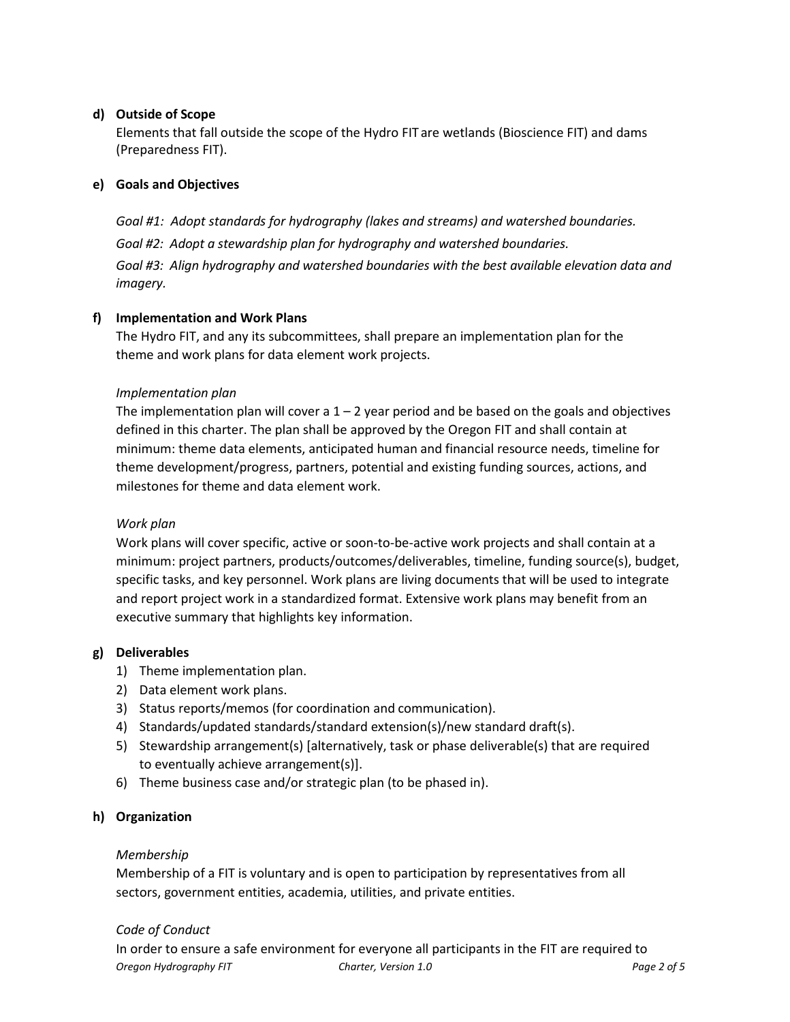# **d) Outside of Scope**

Elements that fall outside the scope of the Hydro FIT are wetlands (Bioscience FIT) and dams (Preparedness FIT).

# **e) Goals and Objectives**

*Goal #1: Adopt standards for hydrography (lakes and streams) and watershed boundaries. Goal #2: Adopt a stewardship plan for hydrography and watershed boundaries. Goal #3: Align hydrography and watershed boundaries with the best available elevation data and imagery.*

# **f) Implementation and Work Plans**

The Hydro FIT, and any its subcommittees, shall prepare an implementation plan for the theme and work plans for data element work projects.

## *Implementation plan*

The implementation plan will cover a  $1 - 2$  year period and be based on the goals and objectives defined in this charter. The plan shall be approved by the Oregon FIT and shall contain at minimum: theme data elements, anticipated human and financial resource needs, timeline for theme development/progress, partners, potential and existing funding sources, actions, and milestones for theme and data element work.

## *Work plan*

Work plans will cover specific, active or soon-to-be-active work projects and shall contain at a minimum: project partners, products/outcomes/deliverables, timeline, funding source(s), budget, specific tasks, and key personnel. Work plans are living documents that will be used to integrate and report project work in a standardized format. Extensive work plans may benefit from an executive summary that highlights key information.

## **g) Deliverables**

- 1) Theme implementation plan.
- 2) Data element work plans.
- 3) Status reports/memos (for coordination and communication).
- 4) Standards/updated standards/standard extension(s)/new standard draft(s).
- 5) Stewardship arrangement(s) [alternatively, task or phase deliverable(s) that are required to eventually achieve arrangement(s)].
- 6) Theme business case and/or strategic plan (to be phased in).

## **h) Organization**

## *Membership*

Membership of a FIT is voluntary and is open to participation by representatives from all sectors, government entities, academia, utilities, and private entities.

## *Code of Conduct*

*Oregon Hydrography FIT Charter, Version 1.0 Page 2 of 5* In order to ensure a safe environment for everyone all participants in the FIT are required to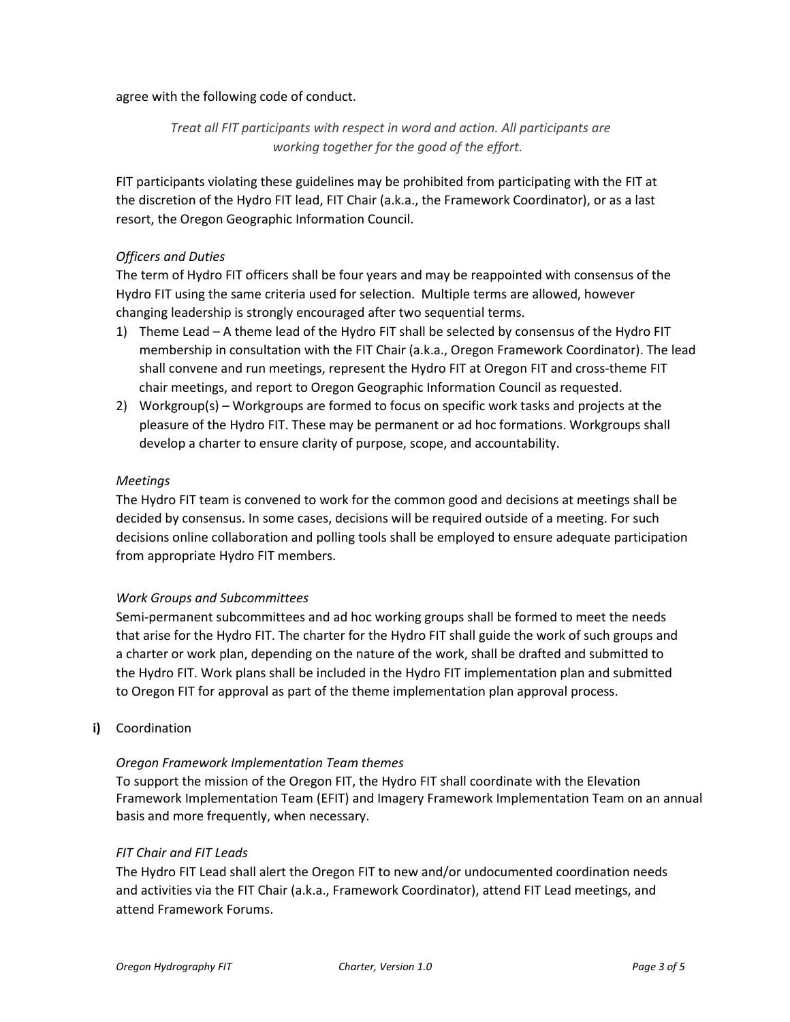agree with the following code of conduct.

*Treat all FIT participants with respect in word and action. All participants are working together for the good of the effort.*

FIT participants violating these guidelines may be prohibited from participating with the FIT at the discretion of the Hydro FIT lead, FIT Chair (a.k.a., the Framework Coordinator), or as a last resort, the Oregon Geographic Information Council.

## *Officers and Duties*

The term of Hydro FIT officers shall be four years and may be reappointed with consensus of the Hydro FIT using the same criteria used for selection. Multiple terms are allowed, however changing leadership is strongly encouraged after two sequential terms.

- 1) Theme Lead A theme lead of the Hydro FIT shall be selected by consensus of the Hydro FIT membership in consultation with the FIT Chair (a.k.a., Oregon Framework Coordinator). The lead shall convene and run meetings, represent the Hydro FIT at Oregon FIT and cross-theme FIT chair meetings, and report to Oregon Geographic Information Council as requested.
- 2) Workgroup(s) Workgroups are formed to focus on specific work tasks and projects at the pleasure of the Hydro FIT. These may be permanent or ad hoc formations. Workgroups shall develop a charter to ensure clarity of purpose, scope, and accountability.

### *Meetings*

The Hydro FIT team is convened to work for the common good and decisions at meetings shall be decided by consensus. In some cases, decisions will be required outside of a meeting. For such decisions online collaboration and polling tools shall be employed to ensure adequate participation from appropriate Hydro FIT members.

#### *Work Groups and Subcommittees*

Semi-permanent subcommittees and ad hoc working groups shall be formed to meet the needs that arise for the Hydro FIT. The charter for the Hydro FIT shall guide the work of such groups and a charter or work plan, depending on the nature of the work, shall be drafted and submitted to the Hydro FIT. Work plans shall be included in the Hydro FIT implementation plan and submitted to Oregon FIT for approval as part of the theme implementation plan approval process.

**i)** Coordination

## *Oregon Framework Implementation Team themes*

To support the mission of the Oregon FIT, the Hydro FIT shall coordinate with the Elevation Framework Implementation Team (EFIT) and Imagery Framework Implementation Team on an annual basis and more frequently, when necessary.

#### *FIT Chair and FIT Leads*

The Hydro FIT Lead shall alert the Oregon FIT to new and/or undocumented coordination needs and activities via the FIT Chair (a.k.a., Framework Coordinator), attend FIT Lead meetings, and attend Framework Forums.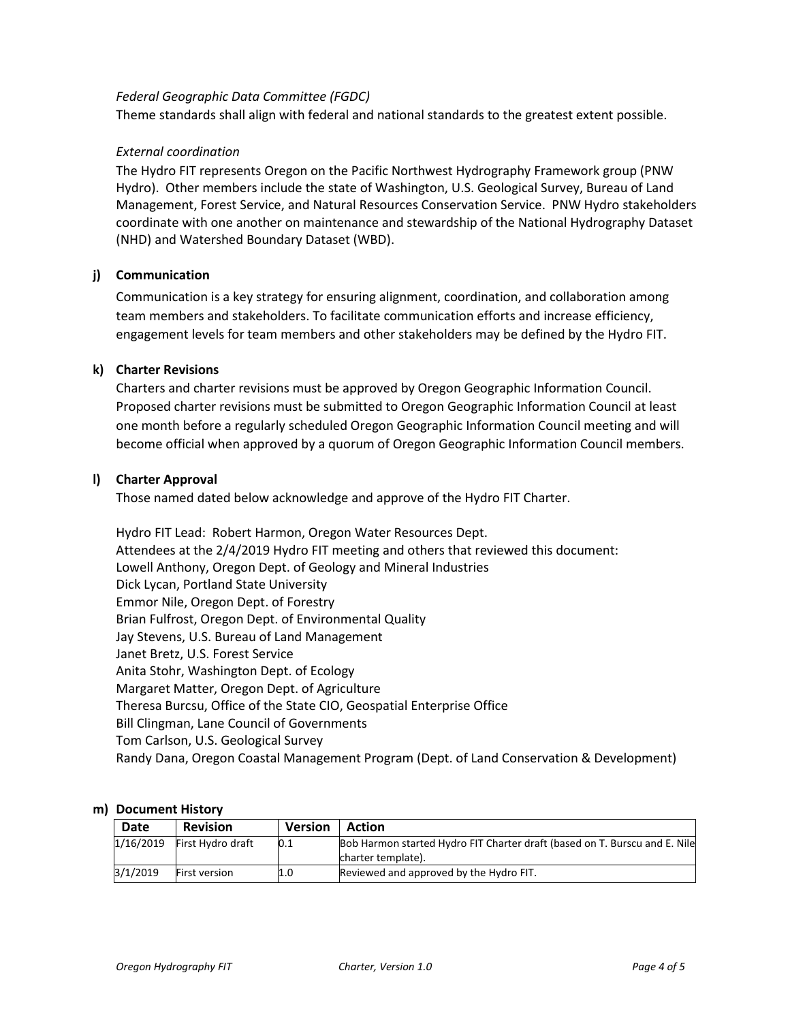#### *Federal Geographic Data Committee (FGDC)*

Theme standards shall align with federal and national standards to the greatest extent possible.

### *External coordination*

The Hydro FIT represents Oregon on the Pacific Northwest Hydrography Framework group (PNW Hydro). Other members include the state of Washington, U.S. Geological Survey, Bureau of Land Management, Forest Service, and Natural Resources Conservation Service. PNW Hydro stakeholders coordinate with one another on maintenance and stewardship of the National Hydrography Dataset (NHD) and Watershed Boundary Dataset (WBD).

### **j) Communication**

Communication is a key strategy for ensuring alignment, coordination, and collaboration among team members and stakeholders. To facilitate communication efforts and increase efficiency, engagement levels for team members and other stakeholders may be defined by the Hydro FIT.

### **k) Charter Revisions**

Charters and charter revisions must be approved by Oregon Geographic Information Council. Proposed charter revisions must be submitted to Oregon Geographic Information Council at least one month before a regularly scheduled Oregon Geographic Information Council meeting and will become official when approved by a quorum of Oregon Geographic Information Council members.

### **l) Charter Approval**

Those named dated below acknowledge and approve of the Hydro FIT Charter.

Hydro FIT Lead: Robert Harmon, Oregon Water Resources Dept. Attendees at the 2/4/2019 Hydro FIT meeting and others that reviewed this document: Lowell Anthony, Oregon Dept. of Geology and Mineral Industries Dick Lycan, Portland State University Emmor Nile, Oregon Dept. of Forestry Brian Fulfrost, Oregon Dept. of Environmental Quality Jay Stevens, U.S. Bureau of Land Management Janet Bretz, U.S. Forest Service Anita Stohr, Washington Dept. of Ecology Margaret Matter, Oregon Dept. of Agriculture Theresa Burcsu, Office of the State CIO, Geospatial Enterprise Office Bill Clingman, Lane Council of Governments Tom Carlson, U.S. Geological Survey Randy Dana, Oregon Coastal Management Program (Dept. of Land Conservation & Development)

#### **m) Document History**

| <b>Date</b> | <b>Revision</b>      | <b>Version</b> | <b>Action</b>                                                              |
|-------------|----------------------|----------------|----------------------------------------------------------------------------|
| 1/16/2019   | First Hydro draft    | 0.1            | Bob Harmon started Hydro FIT Charter draft (based on T. Burscu and E. Nile |
|             |                      |                | charter template).                                                         |
| 3/1/2019    | <b>First version</b> | 1.0            | Reviewed and approved by the Hydro FIT.                                    |